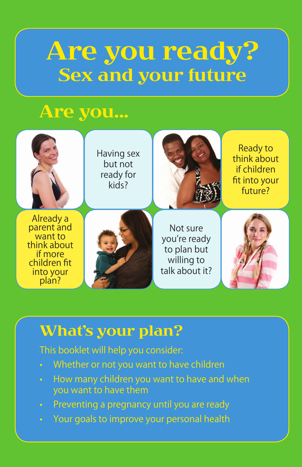# Are you ready? Sex and your future

# Are you...



### What's your plan?

### This booklet will help you consider:

- Whether or not you want to have children
- How many children you want to have and when you want to have them
- Preventing a pregnancy until you are ready
- Your goals to improve your personal health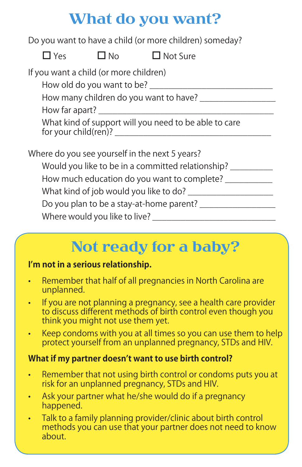# What do you want?

Do you want to have a child (or more children) someday?

 $\Box$  Yes  $\Box$  No  $\Box$  Not Sure

If you want a child (or more children)

How old do you want to be?

How many children do you want to have?

How far apart?

What kind of support will you need to be able to care for your child(ren)? \_\_\_\_\_\_\_\_\_\_\_\_\_\_\_\_\_\_\_\_\_\_\_\_\_\_\_\_\_\_\_\_\_

Where do you see yourself in the next 5 years?

Would you like to be in a committed relationship? \_\_\_\_\_\_\_\_\_\_

How much education do you want to complete? \_\_\_\_\_\_\_\_\_\_\_

What kind of job would you like to do? \_\_\_\_\_\_\_\_\_\_\_\_\_\_\_\_\_\_

Do you plan to be a stay-at-home parent? \_\_\_\_\_\_\_\_\_\_\_\_\_\_\_\_

Where would you like to live? \_\_\_\_\_\_\_\_\_\_\_\_\_\_\_\_\_\_\_\_\_\_\_\_\_\_

# Not ready for a baby?

#### **I'm not in a serious relationship.**

- Remember that half of all pregnancies in North Carolina are unplanned.
- If you are not planning a pregnancy, see a health care provider to discuss different methods of birth control even though you think you might not use them yet.
- Keep condoms with you at all times so you can use them to help protect yourself from an unplanned pregnancy, STDs and HIV.

#### **What if my partner doesn't want to use birth control?**

- Remember that not using birth control or condoms puts you at risk for an unplanned pregnancy, STDs and HIV.
- Ask your partner what he/she would do if a pregnancy happened.
- Talk to a family planning provider/clinic about birth control methods you can use that your partner does not need to know about.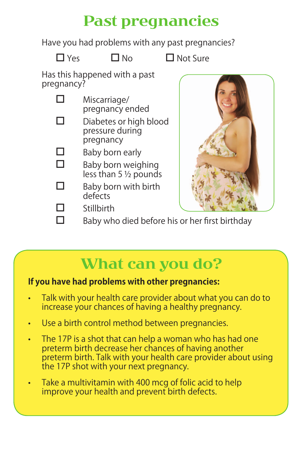# Past pregnancies

Have you had problems with any past pregnancies?

 $\Box$  Yes  $\Box$  No  $\Box$  Not Sure

Has this happened with a past pregnancy?

| H | Miscarriage/    |
|---|-----------------|
|   | pregnancy ended |

- $\square$  Diabetes or high blood pressure during pregnancy
- $\Box$  Baby born early

 $\Box$  Baby born weighing less than 5 ½ pounds

 $\Box$  Baby born with birth defects

 $\square$  Stillbirth



 $\square$  Baby who died before his or her first birthday

# What can you do?

#### **If you have had problems with other pregnancies:**

- Talk with your health care provider about what you can do to increase your chances of having a healthy pregnancy.
- Use a birth control method between pregnancies.
- The 17P is a shot that can help a woman who has had one preterm birth decrease her chances of having another preterm birth. Talk with your health care provider about using the 17P shot with your next pregnancy.
- Take a multivitamin with 400 mcg of folic acid to help improve your health and prevent birth defects.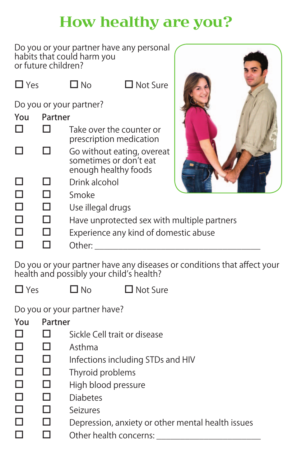# How healthy are you?

Do you or your partner have any personal habits that could harm you or future children?

| $\Box$ Yes |         | ⊐ No                                        | $\Box$ Not Sure                                                              |  |
|------------|---------|---------------------------------------------|------------------------------------------------------------------------------|--|
|            |         | Do you or your partner?                     |                                                                              |  |
| You        | Partner |                                             |                                                                              |  |
|            |         |                                             | Take over the counter or<br>prescription medication                          |  |
|            |         |                                             | Go without eating, overeat<br>sometimes or don't eat<br>enough healthy foods |  |
| ⊔          |         | Drink alcohol                               |                                                                              |  |
| $\Box$     |         | Smoke                                       |                                                                              |  |
| Ш          |         | Use illegal drugs                           |                                                                              |  |
| ⊔          |         | Have unprotected sex with multiple partners |                                                                              |  |
| L          |         | Experience any kind of domestic abuse       |                                                                              |  |
|            |         | Other:                                      |                                                                              |  |

Do you or your partner have any diseases or conditions that affect your health and possibly your child's health?

 $\Box$  Yes  $\Box$  No  $\Box$  Not Sure

Do you or your partner have?

| You | Partner |                                                   |
|-----|---------|---------------------------------------------------|
|     |         | Sickle Cell trait or disease                      |
|     |         | Asthma                                            |
|     |         | Infections including STDs and HIV                 |
|     |         | Thyroid problems                                  |
|     |         | High blood pressure                               |
|     |         | <b>Diabetes</b>                                   |
|     |         | Seizures                                          |
|     |         | Depression, anxiety or other mental health issues |
|     |         | Other health concerns:                            |
|     |         |                                                   |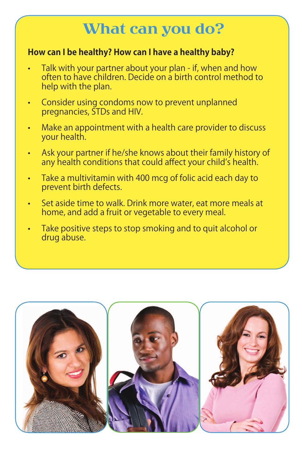## What can you do?

#### **How can I be healthy? How can I have a healthy baby?**

- Talk with your partner about your plan if, when and how often to have children. Decide on a birth control method to help with the plan.
- Consider using condoms now to prevent unplanned pregnancies, STDs and HIV.
- Make an appointment with a health care provider to discuss your health.
- Ask your partner if he/she knows about their family history of any health conditions that could affect your child's health.
- Take a multivitamin with 400 mcg of folic acid each day to prevent birth defects.
- Set aside time to walk. Drink more water, eat more meals at home, and add a fruit or vegetable to every meal.
- Take positive steps to stop smoking and to quit alcohol or drug abuse.

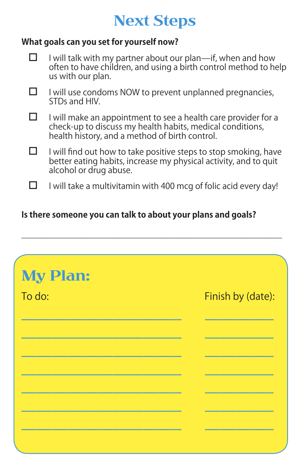# Next Steps

#### **What goals can you set for yourself now?**

- $\Box$  I will talk with my partner about our plan—if, when and how often to have children, and using a birth control method to help us with our plan.
- $\Box$  I will use condoms NOW to prevent unplanned pregnancies, STDs and HIV.
- $\Box$  I will make an appointment to see a health care provider for a check-up to discuss my health habits, medical conditions, health history, and a method of birth control.
- $\Box$  I will find out how to take positive steps to stop smoking, have better eating habits, increase my physical activity, and to quit alcohol or drug abuse.
- $\Box$  I will take a multivitamin with 400 mcg of folic acid every day!

\_\_\_\_\_\_\_\_\_\_\_\_\_\_\_\_\_\_\_\_\_\_\_\_\_\_\_\_\_\_\_\_\_\_\_\_\_\_\_\_\_\_\_\_\_\_\_\_\_\_\_\_\_\_\_

#### **Is there someone you can talk to about your plans and goals?**

| <b>My Plan:</b> |                   |
|-----------------|-------------------|
| To do:          | Finish by (date): |
|                 |                   |
|                 |                   |
|                 |                   |
|                 |                   |
|                 |                   |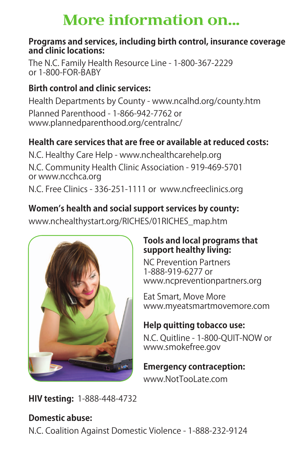# More information on...

#### **Programs and services, including birth control, insurance coverage and clinic locations:**

The N.C. Family Health Resource Line - 1-800-367-2229 or 1-800-FOR-BABY

### **Birth control and clinic services:**

Health Departments by County - www.ncalhd.org/county.htm Planned Parenthood - 1-866-942-7762 or www.plannedparenthood.org/centralnc/

### **Health care services that are free or available at reduced costs:**

N.C. Healthy Care Help - www.nchealthcarehelp.org N.C. Community Health Clinic Association - 919-469-5701 or www.ncchca.org N.C. Free Clinics - 336-251-1111 or www.ncfreeclinics.org

### **Women's health and social support services by county:**

www.nchealthystart.org/RICHES/01RICHES\_map.htm



#### **Tools and local programs that support healthy living:**

NC Prevention Partners 1-888-919-6277 or www.ncpreventionpartners.org

Eat Smart, Move More www.myeatsmartmovemore.com

### **Help quitting tobacco use:**

N.C. Quitline - 1-800-QUIT-NOW or www.smokefree.gov

#### **Emergency contraception:**

www.NotTooLate.com

**HIV testing:** 1-888-448-4732

### **Domestic abuse:**

N.C. Coalition Against Domestic Violence - 1-888-232-9124